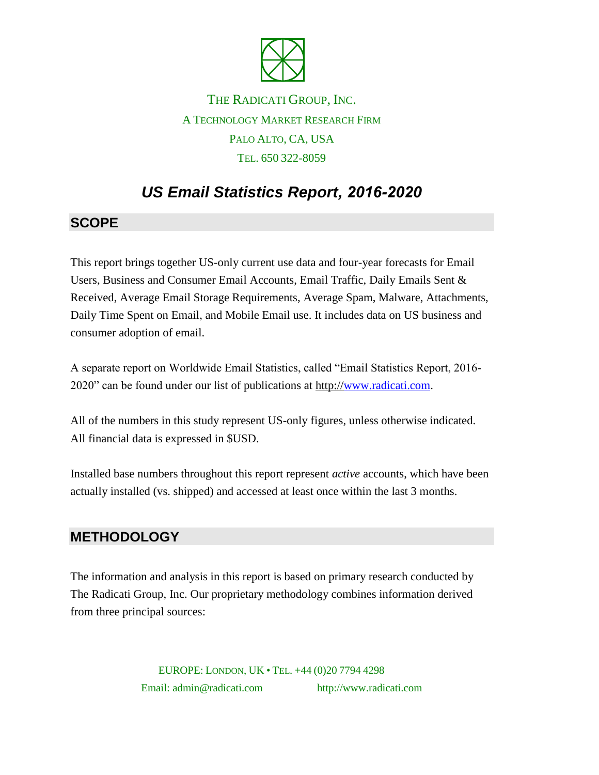

## THE RADICATI GROUP, INC. A TECHNOLOGY MARKET RESEARCH FIRM PALO ALTO, CA, USA TEL. 650 322-8059

# *US Email Statistics Report, 2016-2020*

#### **SCOPE**

This report brings together US-only current use data and four-year forecasts for Email Users, Business and Consumer Email Accounts, Email Traffic, Daily Emails Sent & Received, Average Email Storage Requirements, Average Spam, Malware, Attachments, Daily Time Spent on Email, and Mobile Email use. It includes data on US business and consumer adoption of email.

A separate report on Worldwide Email Statistics, called "Email Statistics Report, 2016- 2020" can be found under our list of publications at http:/[/www.radicati.com.](http://www.radicati.com/)

All of the numbers in this study represent US-only figures, unless otherwise indicated. All financial data is expressed in \$USD.

Installed base numbers throughout this report represent *active* accounts, which have been actually installed (vs. shipped) and accessed at least once within the last 3 months.

#### **METHODOLOGY**

The information and analysis in this report is based on primary research conducted by The Radicati Group, Inc. Our proprietary methodology combines information derived from three principal sources:

> EUROPE: LONDON, UK • TEL. +44 (0)20 7794 4298 Email: admin@radicati.com http://www.radicati.com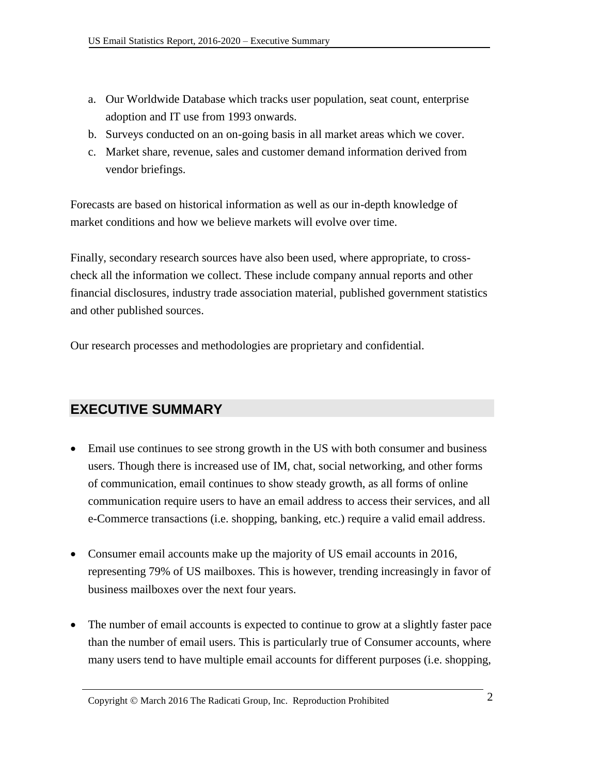- a. Our Worldwide Database which tracks user population, seat count, enterprise adoption and IT use from 1993 onwards.
- b. Surveys conducted on an on-going basis in all market areas which we cover.
- c. Market share, revenue, sales and customer demand information derived from vendor briefings.

Forecasts are based on historical information as well as our in-depth knowledge of market conditions and how we believe markets will evolve over time.

Finally, secondary research sources have also been used, where appropriate, to crosscheck all the information we collect. These include company annual reports and other financial disclosures, industry trade association material, published government statistics and other published sources.

Our research processes and methodologies are proprietary and confidential.

#### **EXECUTIVE SUMMARY**

- Email use continues to see strong growth in the US with both consumer and business users. Though there is increased use of IM, chat, social networking, and other forms of communication, email continues to show steady growth, as all forms of online communication require users to have an email address to access their services, and all e-Commerce transactions (i.e. shopping, banking, etc.) require a valid email address.
- Consumer email accounts make up the majority of US email accounts in 2016, representing 79% of US mailboxes. This is however, trending increasingly in favor of business mailboxes over the next four years.
- The number of email accounts is expected to continue to grow at a slightly faster pace than the number of email users. This is particularly true of Consumer accounts, where many users tend to have multiple email accounts for different purposes (i.e. shopping,